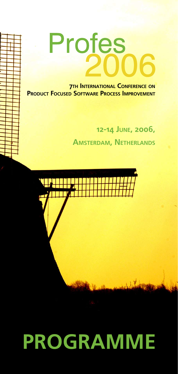# Profes

**7TH INTERNATIONAL CONFERENCE ON PRODUCT FOCUSED SOFTWARE PROCESS IMPROVEMENT** 

> **12-14 JUNE, 2006, AMSTERDAM, NETHERLANDS**



## **PROGRAMME**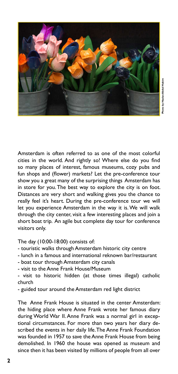

Amsterdam is often referred to as one of the most colorful cities in the world. And rightly so! Where else do you find so many places of interest, famous museums, cozy pubs and fun shops and (flower) markets? Let the pre-conference tour show you a great many of the surprising things Amsterdam has in store for you. The best way to explore the city is on foot. Distances are very short and walking gives you the chance to really feel it's heart. During the pre-conference tour we will let you experience Amsterdam in the way it is. We will walk through the city center, visit a few interesting places and join a short boat trip. An agile but complete day tour for conference visitors only.

#### The day (10:00-18:00) consists of:

- touristic walks through Amsterdam historic city centre
- lunch in a famous and international reknown bar/restaurant
- boat tour through Amsterdam city canals
- visit to the Anne Frank House/Museum

- visit to historic hidden (at those times illegal) catholic church

- guided tour around the Amsterdam red light district

The Anne Frank House is situated in the center Amsterdam: the hiding place where Anne Frank wrote her famous diary during World War II. Anne Frank was a normal girl in exceptional circumstances. For more than two years her diary described the events in her daily life. The Anne Frank Foundation was founded in 1957 to save the Anne Frank House from being demolished. In 1960 the house was opened as museum and since then it has been visited by millions of people from all over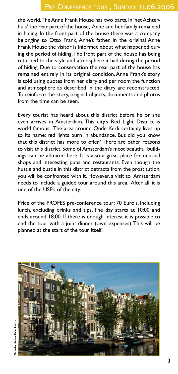the world. The Anne Frank House has two parts. In 'het Achterhuis' the rear part of the house, Anne and her family remained in hiding. In the front part of the house there was a company belonging to Otto Frank, Anne's father. In the original Anne Frank House the visitor is informed about what happened during the period of hiding. The front part of the house has being returned to the style and atmosphere it had during the period of hiding. Due to conservation the rear part of the house has remained entirely in its original condition. Anne Frank's story is told using quotes from her diary and per room the function and atmosphere as described in the diary are reconstructed. To reinforce the story, original objects, documents and photos from the time can be seen.

Every tourist has heard about this district before he or she even arrives in Amsterdam. This city's Red Light District is world famous. The area around Oude Kerk certainly lives up to its name: red lights burn in abundance. But did you know that this district has more to offer? There are other reasons to visit this district. Some of Amsterdam's most beautiful buildings can be admired here. It is also a great place for unusual shops and interesting pubs and restaurants. Even though the hustle and bustle in this district detracts from the prostitution, you will be confronted with it. However, a visit to Amsterdam needs to include a guided tour around this area. After all, it is one of the USP's of the city.

Price of the PROFES pre-conference tour: 70 Euro's, including lunch, excluding drinks and tips. The day starts at 10:00 and ends around 18:00. If there is enough interest it is possible to end the tour with a joint dinner (own expenses). This will be planned at the start of the tour itself.

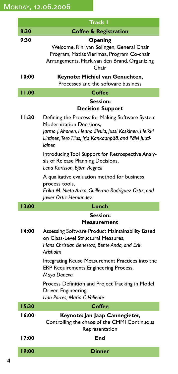|       | Track I                                                                                                                                                                                                          |
|-------|------------------------------------------------------------------------------------------------------------------------------------------------------------------------------------------------------------------|
| 8:30  | <b>Coffee &amp; Registration</b>                                                                                                                                                                                 |
| 9:30  | Opening<br>Welcome, Rini van Solingen, General Chair<br>Program, Matias Vierimaa, Program Co-chair<br>Arrangements, Mark van den Brand, Organizing<br>Chair                                                      |
| 10:00 | Keynote: Michiel van Genuchten,<br>Processes and the software business                                                                                                                                           |
| 11.00 | Coffee                                                                                                                                                                                                           |
|       | <b>Session:</b>                                                                                                                                                                                                  |
|       | <b>Decision Support</b>                                                                                                                                                                                          |
| 11:30 | Defining the Process for Making Software System<br><b>Modernization Decisions.</b><br>Jarmo J. Ahonen, Henna Sivula, Jussi Koskinen, Heikki<br>Lintinen, Tero Tilus, Irja Kankaanpää, and Päivi Juuti-<br>lainen |
|       | Introducing Tool Support for Retrospective Analy-<br>sis of Release Planning Decisions,<br>Lena Karlsson, Björn Regnell                                                                                          |
|       | A qualitative evaluation method for business<br>process tools,<br>Erika M. Nieto-Ariza, Guillermo Rodríguez-Ortiz, and<br>Javier Ortiz-Hernández                                                                 |
| 13:00 | Lunch                                                                                                                                                                                                            |
|       | <b>Session:</b>                                                                                                                                                                                                  |
|       | <b>Measurement</b>                                                                                                                                                                                               |
| 14:00 | Assessing Software Product Maintainability Based<br>on Class-Level Structural Measures,<br>Hans Christian Benestad, Bente Anda, and Erik<br>Arisholm                                                             |
|       | Integrating Reuse Measurement Practices into the<br><b>ERP Requirements Engineering Process,</b><br>Maya Daneva                                                                                                  |
|       | Process Definition and Project Tracking in Model<br>Driven Engineering,<br>Ivan Porres, Maria C. Valiente                                                                                                        |
| 15:30 | Coffee                                                                                                                                                                                                           |
| 16:00 | Keynote: Jan Jaap Cannegieter,<br>Controlling the chaos of the CMMI Continuous<br>Representation                                                                                                                 |
| 17:00 | End                                                                                                                                                                                                              |
| 19:00 | <b>Dinner</b>                                                                                                                                                                                                    |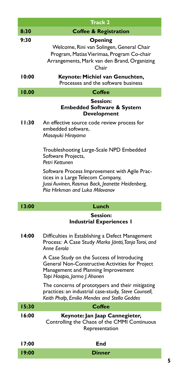|        | <b>Track 2</b>                                                                                                                                                       |
|--------|----------------------------------------------------------------------------------------------------------------------------------------------------------------------|
| 8:30   | <b>Coffee &amp; Registration</b>                                                                                                                                     |
| 9:30   | Opening<br>Welcome, Rini van Solingen, General Chair<br>Program, Matias Vierimaa, Program Co-chair<br>Arrangements, Mark van den Brand, Organizing<br>Chair          |
| 10:00  | Keynote: Michiel van Genuchten,<br>Processes and the software business                                                                                               |
| 10.00  | <b>Coffee</b>                                                                                                                                                        |
|        | <b>Session:</b><br><b>Embedded Software &amp; System</b><br><b>Development</b>                                                                                       |
| l I:30 | An effective source code review process for<br>embedded software,<br>Masayuki Hirayama                                                                               |
|        | Troubleshooting Large-Scale NPD Embedded<br>Software Projects,<br>Petri Kettunen                                                                                     |
|        | Software Process Improvement with Agile Prac-<br>tices in a Large Telecom Company,<br>Jussi Auvinen, Rasmus Back, Jeanette Heidenberg,                               |
|        | Pija Hirkman and Luka Milovanov                                                                                                                                      |
| 13:00  | Lunch                                                                                                                                                                |
|        | <b>Session:</b><br><b>Industrial Experiences I</b>                                                                                                                   |
| 14:00  | Difficulties in Establishing a Defect Management<br>Process: A Case Study Marko Jäntti, Tanja Toroi, and<br>Anne Eerola                                              |
|        | A Case Study on the Success of Introducing<br>General Non-Constructive Activities for Project<br>Management and Planning Improvement<br>Topi Haapio, Jarmo J. Ahonen |
|        | The concerns of prototypers and their mitigating<br>practices: an industrial case-study, Steve Counsell,<br>Keith Phalp, Emilia Mendes and Stella Geddes             |
| 15:30  | <b>Coffee</b>                                                                                                                                                        |
| 16:00  | Keynote: Jan Jaap Cannegieter,<br>Controlling the Chaos of the CMMI Continuous<br>Representation                                                                     |
| 17:00  | End                                                                                                                                                                  |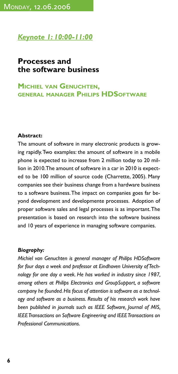#### *Keynote 1: 10:00-11:00*

#### **Processes and the software business**

#### **MICHIEL VAN GENUCHTEN, GENERAL MANAGER PHILIPS HDSOFTWARE**

#### **Abstract:**

The amount of software in many electronic products is growing rapidly. Two examples: the amount of software in a mobile phone is expected to increase from 2 million today to 20 million in 2010. The amount of software in a car in 2010 is expected to be 100 million of source code (Charrette, 2005). Many companies see their business change from a hardware business to a software business. The impact on companies goes far beyond development and developmente processes. Adoption of proper software sales and legal processes is as important. The presentation is based on research into the software business and 10 years of experience in managing software companies.

#### *Biography:*

*Michiel van Genuchten is general manager of Philips HDSoftware for four days a week and professor at Eindhoven University of Technology for one day a week. He has worked in industry since 1987, among others at Philips Electronics and GroupSupport, a software company he founded. His focus of attention is software as a technology and software as a business. Results of his research work have been published in journals such as IEEE Software, Journal of MIS, IEEE Transactions on Software Engineering and IEEE Transactions on Professional Communications.*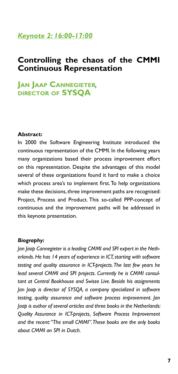#### *Keynote 2: 16:00-17:00*

#### **Controlling the chaos of the CMMI Continuous Representation**

### **JAN JAAP CANNEGIETER, DIRECTOR OF SYSQA**

#### **Abstract:**

In 2000 the Software Engineering Institute introduced the continuous representation of the CMMI. In the following years many organizations based their process improvement effort on this representation. Despite the advantages of this model several of these organizations found it hard to make a choice which process area's to implement first. To help organizations make these decisions, three improvement paths are recognised: Project, Process and Product. This so-called PPP-concept of continuous and the improvement paths will be addressed in this keynote presentation.

#### *Biography:*

*Jan Jaap Cannegieter is a leading CMMI and SPI expert in the Netherlands. He has 14 years of experience in ICT, starting with software testing and quality assurance in ICT-projects. The last few years he lead several CMMI and SPI projects. Currently he is CMMI consultant at Central Bookhouse and Swisse Live. Beside his assignments Jan Jaap is director of SYSQA, a company specialized in software testing, quality assurance and software process improvement. Jan Jaap is author of several articles and three books in the Netherlands: Quality Assurance in ICT-projects, Software Process Improvement and the recent: "The small CMMI". These books are the only books about CMMI an SPI in Dutch.*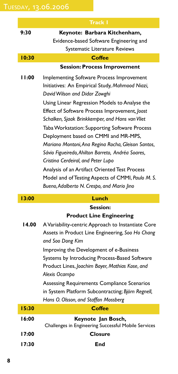|       | <b>Track I</b>                                                                                                                                                                                                                                                                                                                                                                                                                                                                                                                                                                                                                                                                   |
|-------|----------------------------------------------------------------------------------------------------------------------------------------------------------------------------------------------------------------------------------------------------------------------------------------------------------------------------------------------------------------------------------------------------------------------------------------------------------------------------------------------------------------------------------------------------------------------------------------------------------------------------------------------------------------------------------|
| 9:30  | Keynote: Barbara Kitchenham,                                                                                                                                                                                                                                                                                                                                                                                                                                                                                                                                                                                                                                                     |
|       | Evidence-based Software Engineering and                                                                                                                                                                                                                                                                                                                                                                                                                                                                                                                                                                                                                                          |
|       | Systematic Literature Reviews                                                                                                                                                                                                                                                                                                                                                                                                                                                                                                                                                                                                                                                    |
| 10:30 | Coffee                                                                                                                                                                                                                                                                                                                                                                                                                                                                                                                                                                                                                                                                           |
|       | <b>Session: Process Improvement</b>                                                                                                                                                                                                                                                                                                                                                                                                                                                                                                                                                                                                                                              |
| 11:00 | Implementing Software Process Improvement<br>Initiatives: An Empirical Study, Mahmood Niazi,<br>David Wilson and Didar Zowghi<br>Using Linear Regression Models to Analyse the<br>Effect of Software Process Improvement, Joost<br>Schalken, Sjaak Brinkkemper, and Hans van Vliet<br>Taba Workstation: Supporting Software Process<br>Deployment based on CMMI and MR-MPS,<br>Mariano Montoni, Ana Regina Rocha, Gleison Santos,<br>Sávio Figueiredo, Ahilton Barreto, Andréa Soares,<br>Cristina Cerdeiral, and Peter Lupo<br>Analysis of an Artifact Oriented Test Process<br>Model and of Testing Aspects of CMMI, Paulo M. S.<br>Bueno, Adalberto N. Crespo, and Mario Jino |
| 13:00 | Lunch                                                                                                                                                                                                                                                                                                                                                                                                                                                                                                                                                                                                                                                                            |
|       | Session:                                                                                                                                                                                                                                                                                                                                                                                                                                                                                                                                                                                                                                                                         |
|       | <b>Product Line Engineering</b>                                                                                                                                                                                                                                                                                                                                                                                                                                                                                                                                                                                                                                                  |
| 14.00 | A Variability-centric Approach to Instantiate Core                                                                                                                                                                                                                                                                                                                                                                                                                                                                                                                                                                                                                               |
|       | Assets in Product Line Engineering, Soo Ho Chang                                                                                                                                                                                                                                                                                                                                                                                                                                                                                                                                                                                                                                 |
|       | and Soo Dong Kim                                                                                                                                                                                                                                                                                                                                                                                                                                                                                                                                                                                                                                                                 |
|       | Improving the Development of e-Business                                                                                                                                                                                                                                                                                                                                                                                                                                                                                                                                                                                                                                          |
|       | Systems by Introducing Process-Based Software                                                                                                                                                                                                                                                                                                                                                                                                                                                                                                                                                                                                                                    |
|       | Product Lines, Joachim Bayer, Mathias Kose, and                                                                                                                                                                                                                                                                                                                                                                                                                                                                                                                                                                                                                                  |

*Alexis Ocampo*

Assessing Requirements Compliance Scenarios in System Platform Subcontracting; *Björn Regnell, Hans O. Olsson, and Staffan Mossberg*

| 15:30 | <b>Coffee</b>                                        |
|-------|------------------------------------------------------|
| 16:00 | Keynote Jan Bosch,                                   |
|       | Challenges in Engineering Successful Mobile Services |
| 17:00 | <b>Closure</b>                                       |
| 17:30 | End                                                  |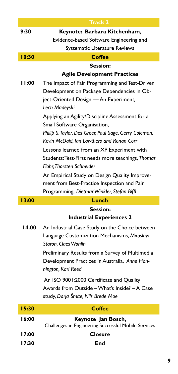|       | Track 2                                                                                          |
|-------|--------------------------------------------------------------------------------------------------|
| 9:30  | Keynote: Barbara Kitchenham,<br>Evidence-based Software Engineering and                          |
|       | Systematic Literature Reviews                                                                    |
| 10:30 | <b>Coffee</b>                                                                                    |
|       | <b>Session:</b>                                                                                  |
| 11:00 | <b>Agile Development Practices</b>                                                               |
|       | The Impact of Pair Programming and Test-Driven<br>Development on Package Dependencies in Ob-     |
|       | ject-Oriented Design - An Experiment,                                                            |
|       | Lech Madeyski                                                                                    |
|       | Applying an Agility/Discipline Assessment for a                                                  |
|       | Small Software Organisation,                                                                     |
|       | Philip S. Taylor, Des Greer, Paul Sage, Gerry Coleman,                                           |
|       | Kevin McDaid, Ian Lawthers and Ronan Corr                                                        |
|       | Lessons learned from an XP Experiment with                                                       |
|       | Students: Test-First needs more teachings, Thomas                                                |
|       | Flohr Thorsten Schneider                                                                         |
|       | An Empirical Study on Design Quality Improve-                                                    |
|       | ment from Best-Practice Inspection and Pair<br>Programming, Dietmar Winkler, Stefan Biffl        |
|       |                                                                                                  |
|       |                                                                                                  |
| 13:00 | Lunch                                                                                            |
|       | <b>Session:</b>                                                                                  |
|       | <b>Industrial Experiences 2</b>                                                                  |
| 14.00 | An Industrial Case Study on the Choice between                                                   |
|       | Language Customization Mechanisms, Miroslaw                                                      |
|       | Staron, Claes Wohlin                                                                             |
|       | Preliminary Results from a Survey of Multimedia<br>Development Practices in Australia, Anne Han- |
|       | nington, Karl Reed                                                                               |
|       |                                                                                                  |
|       | An ISO 9001:2000 Certificate and Quality<br>Awards from Outside - What's Inside? - A Case        |
|       | study, Darja Šmite, Nils Brede Moe                                                               |
| 15:30 | <b>Coffee</b>                                                                                    |
| 16:00 | Keynote Jan Bosch,                                                                               |
|       | Challenges in Engineering Successful Mobile Services                                             |
| 17:00 | <b>Closure</b>                                                                                   |
| 17:30 | End                                                                                              |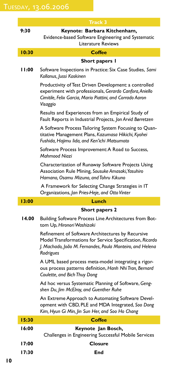|        | Track 3                                                                                                                                                                                   |
|--------|-------------------------------------------------------------------------------------------------------------------------------------------------------------------------------------------|
| 9:30   | Keynote: Barbara Kitchenham,<br>Evidence-based Software Engineering and Systematic                                                                                                        |
|        | Literature Reviews                                                                                                                                                                        |
| 10:30  | <b>Coffee</b>                                                                                                                                                                             |
|        | Short papers l                                                                                                                                                                            |
| l I:00 | Software Inspections in Practice: Six Case Studies, Sami<br>Kollanus, Jussi Koskinen                                                                                                      |
|        | Productivity of Test Driven Development: a controlled<br>experiment with professionals, Gerardo Canfora, Aniello<br>Cimitile, Felix Garcia, Mario Piattini, and Corrado Aaron<br>Visaggio |
|        | Results and Experiences from an Empirical Study of<br>Fault Reports in Industrial Projects, Jon Arvid Børretzen                                                                           |
|        | A Software Process Tailoring System Focusing to Quan-<br>titative Management Plans, Kazumasa Hikichi, Kyohei<br>Fushida, Hajimu lida, and Ken'ichi Matsumoto                              |
|        | Software Process Improvement: A Road to Success,<br>Mahmood Niazi                                                                                                                         |
|        | Characterization of Runaway Software Projects Using<br>Association Rule Mining, Sousuke Amasaki, Yasuhiro<br>Hamano, Osamu Mizuno, and Tohru Kikuno                                       |
|        | A Framework for Selecting Change Strategies in IT<br>Organizations, Jan Pries-Heje, and Otto Vinter                                                                                       |
| 13:00  | Lunch                                                                                                                                                                                     |
|        | <b>Short papers 2</b>                                                                                                                                                                     |
| 14.00  | Building Software Process Line Architectures from Bot-<br>tom Up, Hironori Washizaki                                                                                                      |
|        | Refinement of Software Architectures by Recursive<br>Model Transformations for Service Specification, Ricardo<br>J. Machado, João M. Fernandes, Paula Monteiro, and Helena<br>Rodrigues   |
|        | A UML based process meta-model integrating a rigor-<br>ous process patterns definition, Hanh Nhi Tran, Bernard<br>Coulette, and Bich Thuy Dong                                            |
|        | Ad hoc versus Systematic Planning of Software, Geng-<br>shen Du, Jim McElroy, and Guenther Ruhe                                                                                           |
|        | An Extreme Approach to Automating Software Devel-<br>opment with CBD, PLE and MDA Integrated, Soo Dong<br>Kim, Hyun Gi Min, Jin Sun Her, and Soo Ho Chang                                 |
| 15:30  | <b>Coffee</b>                                                                                                                                                                             |
| 16:00  | Keynote Jan Bosch,<br>Challenges in Engineering Successful Mobile Services                                                                                                                |
| 17:00  | <b>Closure</b>                                                                                                                                                                            |
| 17:30  | End                                                                                                                                                                                       |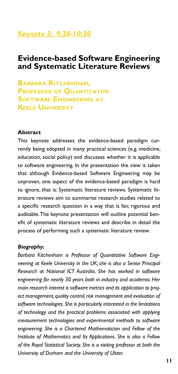#### *Keynote 3: 9:30-10:30*

#### **Evidence-based Software Engineering and Systematic Literature Reviews**

**BARBARA KITCHENHAM, PROFESSOR OF QUANTITATIVE SOFTWARE ENGINEERING AT KEELE UNIVERSITY**

#### **Abstract**

This keynote addresses the evidence-based paradigm currently being adopted in many practical sciences (e.g. medicine, education, social policy) and discusses whether it is applicable to software engineering. In the presentation the view is taken that although Evidence-based Software Engineering may be unproven, one aspect of the evidence-based paradigm is hard to ignore, that is: Systematic literature reviews. Systematic literature reviews aim to summarise research studies related to a specific research question in a way that is fair, rigorous and auditable. The keynote presentation will outline potential benefit of systematic literature reviews and describe in detail the process of performing such a systematic literature review.

#### *Biography:*

*Barbara Kitchenham is Professor of Quantitative Software Engineering at Keele University in the UK; she is also a Senior Principal Research at National ICT Australia. She has worked in software engineering for nearly 30 years both in industry and academia. Her main research interest is software metrics and its application to project management, quality control, risk management and evaluation of software technologies. She is particularly interested in the limitations of technology and the practical problems associated with applying measurement technologies and experimental methods to software engineering. She is a Chartered Mathematician and Fellow of the Institute of Mathematics and Its Applications. She is also a Fellow of the Royal Statistical Society. She is a visiting professor at both the University of Durham and the University of Ulster.*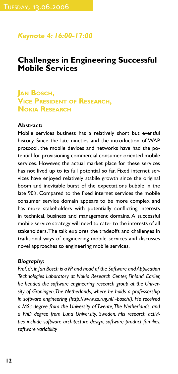#### *Keynote 4: 16:00-17:00*

#### **Challenges in Engineering Successful Mobile Services**

#### **JAN BOSCH, VICE PRESIDENT OF RESEARCH, NOKIA RESEARCH**

#### **Abstract:**

Mobile services business has a relatively short but eventful history. Since the late nineties and the introduction of WAP protocol, the mobile devices and networks have had the potential for provisioning commercial consumer oriented mobile services. However, the actual market place for these services has not lived up to its full potential so far. Fixed internet services have enjoyed relatively stabile growth since the original boom and inevitable burst of the expectations bubble in the late 90's. Compared to the fixed internet services the mobile consumer service domain appears to be more complex and has more stakeholders with potentially conflicting interests in technical, business and management domains. A successful mobile service strategy will need to cater to the interests of all stakeholders. The talk explores the tradeoffs and challenges in traditional ways of engineering mobile services and discusses novel approaches to engineering mobile services.

#### *Biography:*

*Prof. dr. ir. Jan Bosch is a VP and head of the Software and Application Technologies Laboratory at Nokia Research Center, Finland. Earlier, he headed the software engineering research group at the University of Groningen, The Netherlands, where he holds a professorship in software engineering (http://www.cs.rug.nl/~bosch/). He received a MSc degree from the University of Twente, The Netherlands, and a PhD degree from Lund University, Sweden. His research activities include software architecture design, software product families, software variability*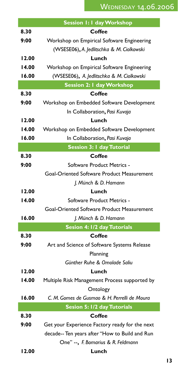|       | Session 1: I day Workshop                      |
|-------|------------------------------------------------|
| 8.30  | Coffee                                         |
| 9:00  | Workshop on Empirical Software Engineering     |
|       | (WSESE06), A. Jedlitschka & M. Ciolkowski      |
| 12.00 | Lunch                                          |
| 14.00 | Workshop on Empirical Software Engineering     |
| 16.00 | (WSESE06), A. Jedlitschka & M. Ciolkowski      |
|       | <b>Session 2: I day Workshop</b>               |
| 8.30  | Coffee                                         |
| 9:00  | Workshop on Embedded Software Development      |
|       | In Collaboration, Pasi Kuvaja                  |
| 12.00 | Lunch                                          |
| 14.00 | Workshop on Embedded Software Development      |
| 16.00 | In Collaboration, Pasi Kuvaja                  |
|       | <b>Session 3: I day Tutorial</b>               |
| 8.30  | Coffee                                         |
| 9:00  | Software Product Metrics -                     |
|       | Goal-Oriented Software Product Measurement     |
|       | J. Münch & D. Hamann                           |
| 12.00 | Lunch                                          |
| 14.00 | Software Product Metrics -                     |
|       | Goal-Oriented Software Product Measurement     |
| 16.00 | J. Münch & D. Hamann                           |
|       | Sesion 4: 1/2 day Tutorials                    |
| 8.30  | Coffee                                         |
| 9:00  | Art and Science of Software Systems Release    |
|       | Planning                                       |
|       | Günther Ruhe & Omolade Saliu                   |
| 12.00 | Lunch                                          |
| 14.00 | Multiple Risk Management Process supported by  |
|       | Ontology                                       |
| 16.00 | C. M. Gomes de Gusmao & H. Perrelli de Moura   |
|       | Sesion 5: 1/2 day Tutorials                    |
| 8.30  | Coffee                                         |
| 9:00  | Get your Experience Factory ready for the next |
|       | decade-- Ten years after "How to Build and Run |
|       | One" --, F. Bomarius & R. Feldmann             |
| 12.00 | Lunch                                          |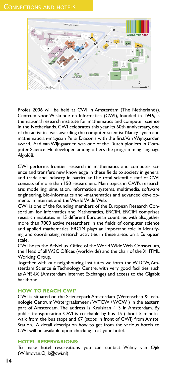Profes 2006 will be held at CWI in Amsterdam (The Netherlands). Centrum voor Wiskunde en Informatica (CWI), founded in 1946, is the national research institute for mathematics and computer science in the Netherlands. CWI celebrates this year its 60th anniversary, one of the activities was awarding the computer scientist Nancy Lynch and mathematician-magician Persi Diaconis with the first Van Wijngaarden award. Aad van Wijngaarden was one of the Dutch pioniers in Computer Science. He developed among others the programming language Algol68.

CWI performs frontier research in mathematics and computer science and transfers new knowledge in these fields to society in general and trade and industry in particular. The total scientific staff of CWI consists of more than 150 researchers. Main topics in CWI's research are: modelling, simulation, information systems, multimedia, software engineering, bio-informatics and -mathematics and advanced developments in internet and the World Wide Web.

CWI is one of the founding members of the European Research Consortium for Informatics and Mathematics, ERCIM. ERCIM comprises research institutes in 15 different European countries with altogether more than 7000 active researchers in the fields of computer science and applied mathematics. ERCIM plays an important role in identifying and coordinating research activities in these areas on a European scale.

CWI hosts the BeNeLux Office of the World Wide Web Consortium, the Head of all W3C Offices (worldwide) and the chair of the XHTML Working Group.

Together with our neighbouring institutes we form the WTCW, Amsterdam Science & Technology Centre, with very good facilities such as AMS-IX (Amsterdam Internet Exchange) and access to the Gigabit backbone.

#### **HOW TO REACH CWI?**

CWI is situated on the Sciencepark Amsterdam (Wetenschap & Technologie Centrum Watergraafsmeer / WTCW / WCW ) in the eastern part of Amsterdam. The address is Kruislaan 413 in Amsterdam. By public transportation CWI is reachable by bus 15 (about 5 minutes walk from the bus stop) and 67 (stops in front of CWI) from Amstel Station. A detail description how to get from the various hotels to CWI will be available upon checking in at your hotel.

#### **HOTEL RESERVARIONS:**

To make hotel reservations you can contact Wilmy van Ojik (Wilmy.van.Ojik@cwi.nl).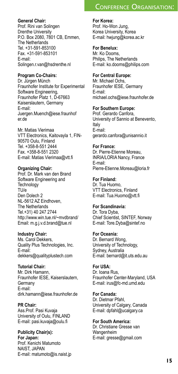#### CONFERENCE ORGANISATION:

#### **General Chair:**

Prof. Rini van Solingen Drenthe University P.O. Box 2080, 7801 CB, Emmen, The Netherlands Tel. +31-591-853100 Fax. +31-591-853101 E-mail: Solingen.r.van@hsdrenthe.nl

#### **Program Co-Chairs:**

Dr. Jürgen Münch Fraunhofer Institute for Experimental Software Engineering, Fraunhofer Platz 1, D-67663 Kaiserslautern, Germany E-mail: Juergen.Muench@iese.fraunhof er.de

Mr. Matias Vierimaa VTT Electronics, Kaitovayla 1, FIN-90570 Oulu, Finland Tel. +358-8-551 2444 Fax. +358-8-551 2320 E-mail: Matias Vierimaa@vtt.fi

#### **Organizing Chair:**

Prof. Dr. Mark van den Brand Software Engineering and **Technology** TU/e Den Dolech 2 NL-5612 AZ Eindhoven, The Netherlands Tel.+31) 40 247 2744 http://www.win.tue.nl/~mvdbrand/ Email: m.g.j.v.d.brand@tue.nl

#### **Industry Chair:**

Ms. Carol Dekkers, Quality Plus Technologies, Inc. E-mail: dekkers@qualityplustech.com

#### **Tutorial Chair:**

Mr. Dirk Hamann, Fraunhofer IESE, Kaiserslautern, **Germany** E-mail: dirk.hamann@iese.fraunhofer.de

#### **PR Chair:**

Ass.Prof. Pasi Kuvaja University of Oulu, FINLAND E-mail: pasi.kuvaja@oulu.fi

**Publicity Chair(s): For Japan:**  Prof. Kenichi Matumoto NAIST, JAPAN E-mail: matumoto@is.naist.jp **For Korea:** Prof. Ho-Won Jung,

Korea University, Korea E-mail: hwjung@korea.ac.kr

#### **For Benelux:**

Mr. Ko Dooms, Philips, The Netherlands E-mail: ko.dooms@philips.com

#### **For Central Europe:**

Mr. Michael Ochs, Fraunhofer IESE, Germany E-mail: michael.ochs@iese.fraunhofer.de

#### **For Southern Europe:**

Prof. Gerardo Canfora, University of Sannio at Benevento, Italy E-mail: gerardo.canfora@unisannio.it

#### **For France:**

Dr. Pierre-Etienne Moreau, INRIA/LORIA Nancy, France E-mail: Pierre-Etienne.Moreau@loria.fr

**For Finland:** Dr. Tua Huomo, VTT Electronics, Finland E-mail: Tua.Huomo@vtt.fi

#### **For Scandinavia:**

Dr. Tora Dyba, Chief Scientist, SINTEF, Norway E-mail: Tore.Dyba@sintef.no

#### **For Oceania:**

Dr. Bernard Wong, University of Technology, Sydney, Australia E-mail: bernard@it.uts.edu.au

#### **For USA:** Dr. Ioana Rus,

Fraunhofer Center-Maryland, USA E-mail: irus@fc-md.umd.edu

**For Canada:** Dr. Dietmar Pfahl, University of Calgary, Canada E-mail: dpfahl@ucalgary.ca

#### **For South America:** Dr. Christiane Gresse van Wangenheim E-mail: gresse@gmail.com